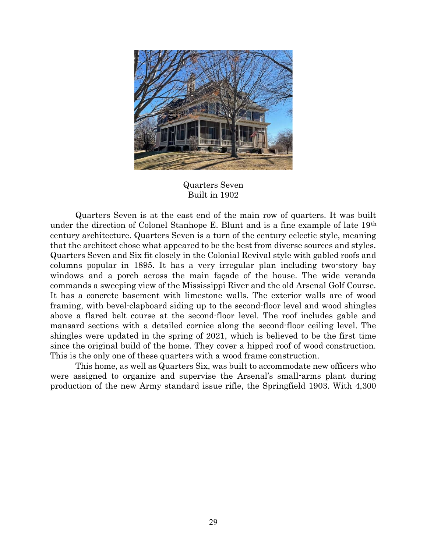

Quarters Seven Built in 1902

Quarters Seven is at the east end of the main row of quarters. It was built under the direction of Colonel Stanhope E. Blunt and is a fine example of late 19<sup>th</sup> century architecture. Quarters Seven is a turn of the century eclectic style, meaning that the architect chose what appeared to be the best from diverse sources and styles. Quarters Seven and Six fit closely in the Colonial Revival style with gabled roofs and columns popular in 1895. It has a very irregular plan including two-story bay windows and a porch across the main façade of the house. The wide veranda commands a sweeping view of the Mississippi River and the old Arsenal Golf Course. It has a concrete basement with limestone walls. The exterior walls are of wood framing, with bevel-clapboard siding up to the second-floor level and wood shingles above a flared belt course at the second-floor level. The roof includes gable and mansard sections with a detailed cornice along the second-floor ceiling level. The shingles were updated in the spring of 2021, which is believed to be the first time since the original build of the home. They cover a hipped roof of wood construction. This is the only one of these quarters with a wood frame construction.

This home, as well as Quarters Six, was built to accommodate new officers who were assigned to organize and supervise the Arsenal's small-arms plant during production of the new Army standard issue rifle, the Springfield 1903. With 4,300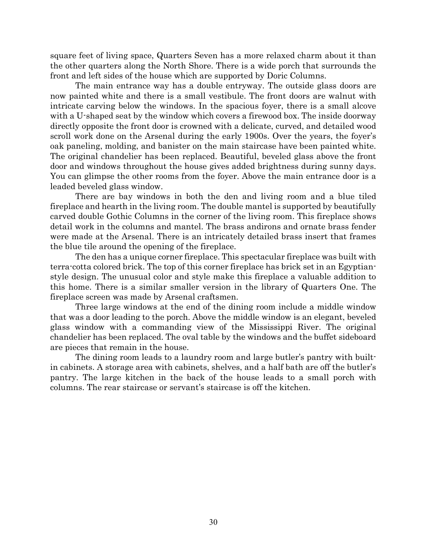square feet of living space, Quarters Seven has a more relaxed charm about it than the other quarters along the North Shore. There is a wide porch that surrounds the front and left sides of the house which are supported by Doric Columns.

 The main entrance way has a double entryway. The outside glass doors are now painted white and there is a small vestibule. The front doors are walnut with intricate carving below the windows. In the spacious foyer, there is a small alcove with a U-shaped seat by the window which covers a firewood box. The inside doorway directly opposite the front door is crowned with a delicate, curved, and detailed wood scroll work done on the Arsenal during the early 1900s. Over the years, the foyer's oak paneling, molding, and banister on the main staircase have been painted white. The original chandelier has been replaced. Beautiful, beveled glass above the front door and windows throughout the house gives added brightness during sunny days. You can glimpse the other rooms from the foyer. Above the main entrance door is a leaded beveled glass window.

There are bay windows in both the den and living room and a blue tiled fireplace and hearth in the living room. The double mantel is supported by beautifully carved double Gothic Columns in the corner of the living room. This fireplace shows detail work in the columns and mantel. The brass andirons and ornate brass fender were made at the Arsenal. There is an intricately detailed brass insert that frames the blue tile around the opening of the fireplace.

The den has a unique corner fireplace. This spectacular fireplace was built with terra-cotta colored brick. The top of this corner fireplace has brick set in an Egyptianstyle design. The unusual color and style make this fireplace a valuable addition to this home. There is a similar smaller version in the library of Quarters One. The fireplace screen was made by Arsenal craftsmen.

Three large windows at the end of the dining room include a middle window that was a door leading to the porch. Above the middle window is an elegant, beveled glass window with a commanding view of the Mississippi River. The original chandelier has been replaced. The oval table by the windows and the buffet sideboard are pieces that remain in the house.

 The dining room leads to a laundry room and large butler's pantry with builtin cabinets. A storage area with cabinets, shelves, and a half bath are off the butler's pantry. The large kitchen in the back of the house leads to a small porch with columns. The rear staircase or servant's staircase is off the kitchen.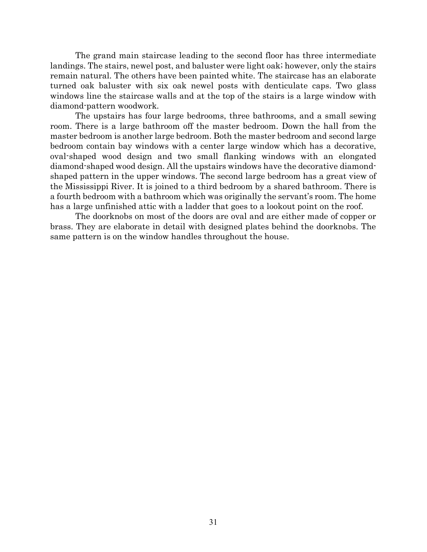The grand main staircase leading to the second floor has three intermediate landings. The stairs, newel post, and baluster were light oak; however, only the stairs remain natural. The others have been painted white. The staircase has an elaborate turned oak baluster with six oak newel posts with denticulate caps. Two glass windows line the staircase walls and at the top of the stairs is a large window with diamond-pattern woodwork.

 The upstairs has four large bedrooms, three bathrooms, and a small sewing room. There is a large bathroom off the master bedroom. Down the hall from the master bedroom is another large bedroom. Both the master bedroom and second large bedroom contain bay windows with a center large window which has a decorative, oval-shaped wood design and two small flanking windows with an elongated diamond-shaped wood design. All the upstairs windows have the decorative diamondshaped pattern in the upper windows. The second large bedroom has a great view of the Mississippi River. It is joined to a third bedroom by a shared bathroom. There is a fourth bedroom with a bathroom which was originally the servant's room. The home has a large unfinished attic with a ladder that goes to a lookout point on the roof.

 The doorknobs on most of the doors are oval and are either made of copper or brass. They are elaborate in detail with designed plates behind the doorknobs. The same pattern is on the window handles throughout the house.